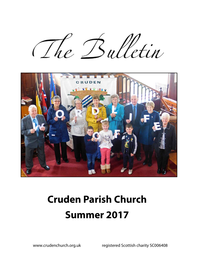The Bulletin



# **Cruden Parish Church Summer 2017**

www.crudenchurch.org.uk registered Scottish charity SC006408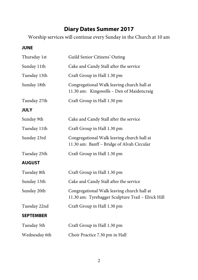## **Diary Dates Summer 2017**

Worship services will continue every Sunday in the Church at 10 am

#### **JUNE**

| Thursday 1st     | Guild Senior Citizens' Outing                                                                    |  |  |
|------------------|--------------------------------------------------------------------------------------------------|--|--|
| Sunday 11th      | Cake and Candy Stall after the service                                                           |  |  |
| Tuesday 13th     | Craft Group in Hall 1.30 pm                                                                      |  |  |
| Sunday 18th      | Congregational Walk leaving church hall at<br>11.30 am: Kingswells - Den of Maidencraig          |  |  |
| Tuesday 27th     | Craft Group in Hall 1.30 pm                                                                      |  |  |
| <b>JULY</b>      |                                                                                                  |  |  |
| Sunday 9th       | Cake and Candy Stall after the service                                                           |  |  |
| Tuesday 11th     | Craft Group in Hall 1.30 pm                                                                      |  |  |
| Sunday 23rd      | Congregational Walk leaving church hall at<br>11.30 am: Banff - Bridge of Alvah Circular         |  |  |
| Tuesday 25th     | Craft Group in Hall 1.30 pm                                                                      |  |  |
| <b>AUGUST</b>    |                                                                                                  |  |  |
| Tuesday 8th      | Craft Group in Hall 1.30 pm                                                                      |  |  |
| Sunday 13th      | Cake and Candy Stall after the service                                                           |  |  |
| Sunday 20th      | Congregational Walk leaving church hall at<br>11.30 am: Tyrebagger Sculpture Trail - Elrick Hill |  |  |
| Tuesday 22nd     | Craft Group in Hall 1.30 pm                                                                      |  |  |
| <b>SEPTEMBER</b> |                                                                                                  |  |  |
| Tuesday 5th      | Craft Group in Hall 1.30 pm                                                                      |  |  |
| Wednesday 6th    | Choir Practice 7.30 pm in Hall                                                                   |  |  |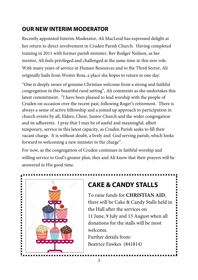## **OUR NEW INTERIM MODERATOR**

Recently appointed Interim Moderator, Ali MacLeod has expressed delight at her return to direct involvement in Cruden Parish Church. Having completed training in 2011 with former parish minister, Rev Rodger Neilson, as her mentor, Ali feels privileged and challenged at the same time in this new role. With many years of service in Human Resources and to the Third Sector, Ali originally hails from Wester Ross, a place she hopes to return to one day.

"One is deeply aware of genuine Christian welcome from a strong and faithful congregation in this beautiful rural setting", Ali comments as she undertakes this latest commitment. "I have been pleased to lead worship with the people of Cruden on occasion over the recent past, following Roger's retirement. There is always a sense of active fellowship and a joined up approach to participation in church events by all, Elders, Choir, Junior Church and the wider congregation and its adherents. I pray that I may be of useful and meaningful, albeit temporary, service in this latest capacity, as Cruden Parish seeks to fill their vacant charge. It is without doubt, a lively and God serving parish, which looks forward to welcoming a new minister to the charge".

For now, as the congregation of Cruden continues in faithful worship and willing service to God's greater plan, they and Ali know that their prayers will be answered in His good time.



# **CAKE & CANDY STALLS**

To raise funds for **CHRISTIAN AID**, there will be Cake & Candy Stalls held in the Hall after the services on 11 June, 9 July and 13 August when all donations for the stalls will be most welcome.

Further details from: Beatrice Fawkes (841814)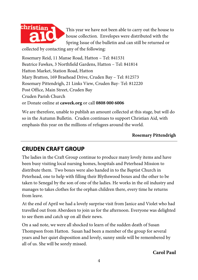

This year we have not been able to carry out the house to house collection. Envelopes were distributed with the Spring Issue of the bulletin and can still be returned or

collected by contacting any of the following:

Rosemary Reid, 11 Manse Road, Hatton – Tel: 841531 Beatrice Fawkes, 3 Northfield Gardens, Hatton – Tel: 841814 Hatton Market, Station Road, Hatton Mary Bratton, 169 Braehead Drive, Cruden Bay – Tel: 812573 Rosemary Pittendrigh, 21 Links View, Cruden Bay- Tel: 812220 Post Office, Main Street, Cruden Bay Cruden Parish Church or Donate online at **caweek.org** or call **0808 000 6006**

We are therefore, unable to publish an amount collected at this stage, but will do so in the Autumn Bulletin. Cruden continues to support Christian Aid, with emphasis this year on the millions of refugees around the world.

#### **Rosemary Pittendrigh**

## **CRUDEN CRAFT GROUP**

The ladies in the Craft Group continue to produce many lovely items and have been busy visiting local nursing homes, hospitals and Peterhead Mission to distribute them. Two boxes were also handed in to the Baptist Church in Peterhead, one to help with filling their Blythswood boxes and the other to be taken to Senegal by the son of one of the ladies. He works in the oil industry and manages to takes clothes for the orphan children there, every time he returns from leave.

At the end of April we had a lovely surprise visit from Janice and Violet who had travelled out from Aberdeen to join us for the afternoon. Everyone was delighted to see them and catch up on all their news.

On a sad note, we were all shocked to learn of the sudden death of Susan Thompson from Hatton. Susan had been a member of the group for several years and her quiet disposition and lovely, sunny smile will be remembered by all of us. She will be sorely missed.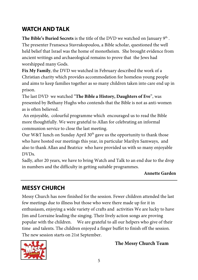## **WATCH AND TALK**

**The Bible's Buried Secrets** is the title of the DVD we watched on January 9<sup>th</sup>. The presenter Fransesca Stavrakopoulou, a Bible scholar, questioned the well held belief that Israel was the home of monotheism. She brought evidence from ancient writings and archaeological remains to prove that the Jews had worshipped many Gods.

**Fix My Family**, the DVD we watched in February described the work of a Christian charity which provides accommodation for homeless young people and aims to keep families together as so many children taken into care end up in prison.

The last DVD we watched "**The Bible a History, Daughters of Eve**", was presented by Bethany Hughs who contends that the Bible is not as anti-women as is often believed.

 An enjoyable, colourful programme which encouraged us to read the Bible more thoughtfully. We were grateful to Allan for celebrating an informal communion service to close the last meeting.

Our W&T lunch on Sunday April  $30<sup>th</sup>$  gave us the opportunity to thank those who have hosted our meetings this year, in particular Marilyn Samways, and also to thank Allan and Beatrice who have provided us with so many enjoyable DVDs.

Sadly, after 20 years, we have to bring Watch and Talk to an end due to the drop in numbers and the difficulty in getting suitable programmes.

#### **Annette Garden**

# **MESSY CHURCH**

Messy Church has now finished for the session. Fewer children attended the last few meetings due to illness but those who were there made up for it in enthusiasm, enjoying a wide variety of crafts and activities We are lucky to have Jim and Lorraine leading the singing. Their lively action songs are proving popular with the children. We are grateful to all our helpers who give of their time and talents. The children enjoyed a finger buffet to finish off the session. The new session starts on 21st September.



## **The Messy Church Team**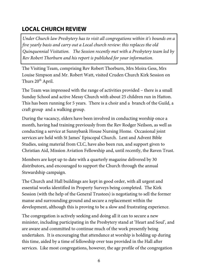## **LOCAL CHURCH REVIEW**

*Under Church law Presbytery has to visit all congregations within it's bounds on a five yearly basis and carry out a Local church review: this replaces the old Quinquennial Visitation. The Session recently met with a Presbytery team led by Rev Robert Thorburn and his report is published for your information.* 

The Visiting Team, comprising Rev Robert Thorburn, Mrs Moira Gess, Mrs Louise Simpson and Mr. Robert Watt, visited Cruden Church Kirk Session on Thurs 20<sup>th</sup> April.

The Team was impressed with the range of activities provided – there is a small Sunday School and active Messy Church with about 25 children run in Hatton. This has been running for 5 years. There is a choir and a branch of the Guild, a craft group and a walking group.

During the vacancy, elders have been involved in conducting worship once a month, having had training previously from the Rev Rodger Neilson, as well as conducting a service at Sunnybank House Nursing Home. Occasional joint services are held with St James' Episcopal Church. Lent and Advent Bible Studies, using material from CLC, have also been run, and support given to Christian Aid, Mission Aviation Fellowship and, until recently, the Raven Trust.

Members are kept up to date with a quarterly magazine delivered by 30 distributors, and encouraged to support the Church through the annual Stewardship campaign.

The Church and Hall buildings are kept in good order, with all urgent and essential works identified in Property Surveys being completed. The Kirk Session (with the help of the General Trustees) is negotiating to sell the former manse and surrounding ground and secure a replacement within the development, although this is proving to be a slow and frustrating experience.

The congregation is actively seeking and doing all it can to secure a new minister, including participating in the Presbytery stand at 'Heart and Soul', and are aware and committed to continue much of the work presently being undertaken. It is encouraging that attendance at worship is holding up during this time, aided by a time of fellowship over teas provided in the Hall after services. Like most congregations, however, the age profile of the congregation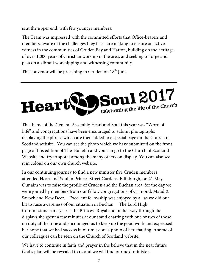is at the upper end, with few younger members.

The Team was impressed with the committed efforts that Office-bearers and members, aware of the challenges they face, are making to ensure an active witness in the communities of Cruden Bay and Hatton, building on the heritage of over 1,000 years of Christian worship in the area, and seeking to forge and pass on a vibrant worshipping and witnessing community.

The convenor will be preaching in Cruden on  $18<sup>th</sup>$  June.



The theme of the General Assembly Heart and Soul this year was "Word of Life" and congregations have been encouraged to submit photographs displaying the phrase which are then added to a special page on the Church of Scotland website. You can see the photo which we have submitted on the front page of this edition of The Bulletin and you can go to the Church of Scotland Website and try to spot it among the many others on display. You can also see it in colour on our own church website.

In our continuing journey to find a new minister five Cruden members attended Heart and Soul in Princes Street Gardens, Edinburgh, on 21 May. Our aim was to raise the profile of Cruden and the Buchan area, for the day we were joined by members from our fellow congregations of Crimond, Maud & Savoch and New Deer. Excellent fellowship was enjoyed by all as we did our bit to raise awareness of our situation in Buchan. The Lord High Commissioner this year is the Princess Royal and on her way through the displays she spent a few minutes at our stand chatting with one or two of those on duty at the time and encouraged us to keep up the good work and expressed her hope that we had success in our mission: a photo of her chatting to some of our colleagues can be seen on the Church of Scotland website.

We have to continue in faith and prayer in the believe that in the near future God's plan will be revealed to us and we will find our next minister.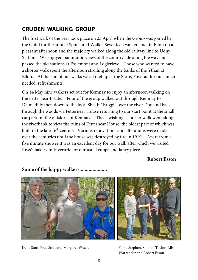## **CRUDEN WALKING GROUP**

The first walk of the year took place on 23 April when the Group was joined by the Guild for the annual Sponsored Walk. Seventeen walkers met in Ellon on a pleasant afternoon and the majority walked along the old railway line to Udny Station. We enjoyed panoramic views of the countryside along the way and passed the old stations at Esslemont and Logierieve. Those who wanted to have a shorter walk spent the afternoon strolling along the banks of the Ythan at Ellon. At the end of our walks we all met up at the Store, Foveran for our much needed refreshments.

On 14 May nine walkers set out for Kemnay to enjoy an afternoon walking on the Fetternear Estate. Four of the group walked out through Kemnay to Dalmadilly then down to the local Shakin' Briggie over the river Don and back through the woods via Fetternear House returning to our start point at the small car park on the outskirts of Kemnay. Those wishing a shorter walk went along the riverbank to view the ruins of Fetternear House, the oldest part of which was built in the late 16<sup>th</sup> century. Various renovations and alterations were made over the centuries until the house was destroyed by fire in 1919. Apart from a five minute shower it was an excellent day for our walk after which we visited Ross's bakery in Inverurie for our usual cuppa and fancy piece.

**Robert Esson** 



#### **Some of the happy walkers.....................**

Irene Stott, Fred Stott and Margaret Wisely Fiona Stephen, Shonah Taylor, Alison



Warrender and Robert Esson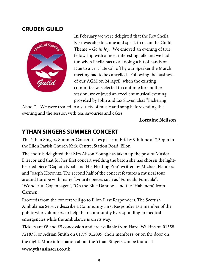### **CRUDEN GUILD**



In February we were delighted that the Rev Sheila Kirk was able to come and speak to us on the Guild Theme – *Go in Joy*. We enjoyed an evening of true fellowship with a most interesting talk and we had fun when Sheila has us all doing a bit of hands on. Due to a very late call off by our Speaker the March meeting had to be cancelled. Following the business of our AGM on 24 April, when the existing committee was elected to continue for another session, we enjoyed an excellent musical evening provided by John and Liz Slaven alias "Fichering

Aboot". We were treated to a variety of music and song before ending the evening and the session with tea, savouries and cakes.

**Lorraine Neilson** 

## **YTHAN SINGERS SUMMER CONCERT**

The Ythan Singers Summer Concert takes place on Friday 9th June at 7.30pm in the Ellon Parish Church Kirk Centre, Station Road, Ellon.

The choir is delighted that Mrs Alison Young has taken up the post of Musical Direcor and that for her first concert wielding the baton she has chosen the lighthearted piece "Captain Noah and His Floating Zoo" written by Michael Flanders and Joseph Horovitz. The second half of the concert features a musical tour around Europe with many favourite pieces such as "Funiculi, Funicula", "Wonderful Copenhagen", "On the Blue Danube", and the "Habanera" from Carmen.

Proceeds from the concert will go to Ellon First Responders. The Scottish Ambulance Service describe a Community First Responder as a member of the public who volunteers to help their community by responding to medical emergencies while the ambulance is on its way.

Tickets are £8 and £5 concession and are available from Hazel Wilkins on 01358 721838, or Adrian Smith on 01779 812095, choir members, or on the door on the night. More information about the Ythan Singers can be found at **www.ythansinaers.co.uk**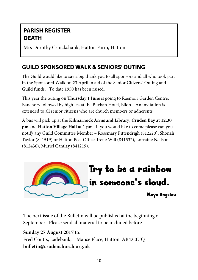## **PARISH REGISTER DEATH**

Mrs Dorothy Cruickshank, Hatton Farm, Hatton.

## **GUILD SPONSORED WALK & SENIORS' OUTING**

The Guild would like to say a big thank you to all sponsors and all who took part in the Sponsored Walk on 23 April in aid of the Senior Citizens' Outing and Guild funds. To date £950 has been raised.

This year the outing on **Thursday 1 June** is going to Raemoir Garden Centre, Banchory followed by high tea at the Buchan Hotel, Ellon. An invitation is extended to all senior citizens who are church members or adherents.

A bus will pick up at the **Kilmarnock Arms and Library, Cruden Bay at 12.30 pm** and **Hatton Village Hall at 1 pm** If you would like to come please can you notify any Guild Committee Member – Rosemary Pittendrigh (812220), Shonah Taylor (841519) or Hatton Post Office, Irene Will (841532), Lorraine Neilson (812436), Muriel Cantlay (841219).



The next issue of the Bulletin will be published at the beginning of September. Please send all material to be included before

**Sunday 27 August 2017** to: Fred Coutts, Ladebank, 1 Manse Place, Hatton AB42 0UQ **bulletin@crudenchurch.org.uk**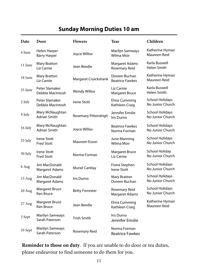# **Sunday Morning Duties 10 am**

| Date    | Door                                     | <b>Flowers</b>         | <b>Teas</b>                             | Children                                   |
|---------|------------------------------------------|------------------------|-----------------------------------------|--------------------------------------------|
| 4 June  | Helen Harper<br><b>Barry Harper</b>      | Joyce Willox           | <b>Marilyn Samways</b><br>Wilma Moir    | Katherine Hyman<br>Maureen Reid            |
| 11 June | <b>Mary Bratton</b><br>Liz Carnie        | Jean Beedie            | Margaret Adams<br>Rosemary Reid         | Karla Buswell<br>Helen Smith               |
| 18 June | Mary Bratton<br>Liz Carnie               | Margaret Cruickshank   | Doreen Buchan<br><b>Beatrice Fawkes</b> | Katherine Hyman<br>Maureen Reid            |
| 25 June | Peter Slamaker<br>Debbie Macintosh       | <b>Wendy Willox</b>    | Liz Carnie<br><b>Margaret Bruce</b>     | Karla Buswell<br>Helen Smith               |
| 2 July  | Peter Slamaker<br>Debbie Macintosh       | <b>Irene Stott</b>     | Elma Cumming<br>Kathleen Craig          | <b>School Holidays</b><br>No Junior Church |
| 9 July  | Mary McNaughtan<br>Adrian Smith          | Rosemary Pittendrigh   | Jennifer Emslie<br>Iris Durno           | <b>School Holidays</b><br>No Junior Church |
| 16 July | Mary McNaughtan<br>Adrian Smith          | Joyce Willox           | <b>Beatrice Fawkes</b><br>Norma Forman  | <b>School Holidays</b><br>No Junior Church |
| 23 July | <b>Irene Stott</b><br><b>Fred Stott</b>  | Maureen Esson          | June Manning<br>Wilma Moir              | <b>School Holidays</b><br>No Junior Church |
| 30 July | Irene Stott<br><b>Fred Stott</b>         | Norma Forman           | <b>Margaret Bruce</b><br>Liz Carnie     | School Holiday<br>No Junior Church         |
| 6 Aug   | Jim MacDonald<br>Margaret Adams          | <b>Muriel Cantlay</b>  | Fiona Stephen<br><b>Irene Stott</b>     | <b>School Holidays</b><br>No Junior Church |
| 13 Aug  | Jim MacDonald<br><b>Margaret Adams</b>   | Iris Durno             | <b>Mary Bratton</b><br>Doreen Buchan    | <b>School Holidays</b><br>No Junior Church |
| 20 Aug  | <b>Margaret Bruce</b><br>Ken Bruce       | <b>Betty Forrester</b> | Rosemary Reid<br><b>Margaret Adams</b>  | <b>School Holidays</b><br>No Junior Church |
| 27 Aug  | <b>Margaret Bruce</b><br>Ken Bruce       | Jean Beedie            | Elma Cumming<br>Kathleen Craig          | Katherine Hyman<br>Maureen Reid            |
| 3 Sept  | <b>Marilyn Samways</b><br>Sarah Paterson | <b>Trish Smith</b>     | Iris Durno<br>Jennifer Emslie           |                                            |
| 10 Sept | <b>Marilyn Samways</b><br>Sarah Paterson | Rosemary Reid          | Norma Forman<br><b>Beatrice Fawkes</b>  |                                            |

**Reminder to those on duty**. If you are unable to do door or tea duties, please endeavour to find someone to do them for you.